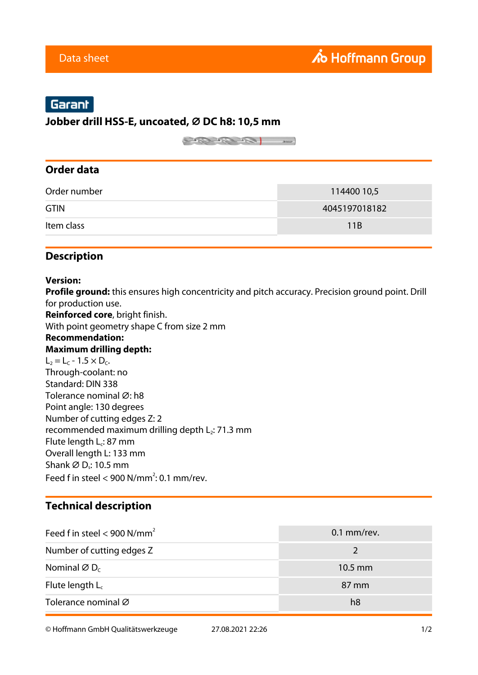# Garant

#### **Jobber drill HSS-E, uncoated, ⌀ DC h8: 10,5 mm**

 $\begin{picture}(180,10) \put(0,0){\line(1,0){10}} \put(10,0){\line(1,0){10}} \put(10,0){\line(1,0){10}} \put(10,0){\line(1,0){10}} \put(10,0){\line(1,0){10}} \put(10,0){\line(1,0){10}} \put(10,0){\line(1,0){10}} \put(10,0){\line(1,0){10}} \put(10,0){\line(1,0){10}} \put(10,0){\line(1,0){10}} \put(10,0){\line(1,0){10}} \put(10,0){\line($ 

### **Order data**

| Order number | 114400 10,5   |
|--------------|---------------|
| <b>GTIN</b>  | 4045197018182 |
| Item class   | 11B           |

## **Description**

#### **Version:**

**Profile ground:** this ensures high concentricity and pitch accuracy. Precision ground point. Drill for production use.

**Reinforced core**, bright finish.

With point geometry shape C from size 2 mm

#### **Recommendation: Maximum drilling depth:**

 $L_2 = L_C - 1.5 \times D_C$ . Through-coolant: no Standard: DIN 338 Tolerance nominal Ø: h8 Point angle: 130 degrees Number of cutting edges Z: 2 recommended maximum drilling depth  $L_2$ : 71.3 mm Flute length L<sub>c</sub>: 87 mm Overall length L: 133 mm Shank ∅ D,: 10.5 mm Feed f in steel  $<$  900 N/mm<sup>2</sup>: 0.1 mm/rev.

## **Technical description**

| Feed f in steel < 900 N/mm <sup>2</sup> | $0.1$ mm/rev.     |
|-----------------------------------------|-------------------|
| Number of cutting edges Z               | $\mathcal{L}$     |
| Nominal $\varnothing$ D <sub>c</sub>    | $10.5 \text{ mm}$ |
| Flute length $L_c$                      | 87 mm             |
| Tolerance nominal Ø                     | h8                |

© Hoffmann GmbH Qualitätswerkzeuge 27.08.2021 22:26 1/2